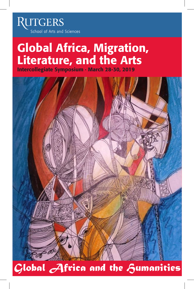RUTGERS School of Arts and Sciences

# Global Africa, Migration, Literature, and the Arts

Intercollegiate Symposium · March 28-30, 2019

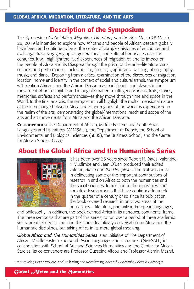# Description of the Symposium

The Symposium *Global Africa, Migration, Literature, and the Arts*, March 28-March 29, 2019 is intended to explore how Africans and people of African descent globally have been and continue to be at the center of complex histories of encounter and exchange, traversing geographic, generational, and cultural boundaries over the centuries. It will highlight the lived experiences of migration of, and its impact on, the people of Africa and its Diaspora through the prism of the arts—literature visual cultures and performances including film, comics, graphic arts, painting, photography, music, and dance. Departing from a critical examination of the discourses of migration, location, home and identity in the context of social and cultural transit, the symposium will position Africans and the African Diaspora as participants and players in the movement of both tangible and intangible matter—multi-generic ideas, texts, stories, memories, artifacts and performances—as they move through time and space in the World. In the final analysis, the symposium will highlight the multidimensional nature of the interchange between Africa and other regions of the world as experienced in the realm of the arts, demonstrating the global/international reach and scope of the arts and art movements from Africa and the African Diaspora.

**Co-convenors:** The Department of African, Middle Eastern, and South Asian Languages and Literatures (AMESALL), the Department of French, the School of Environmental and Biological Sciences (SEBS), the Business School, and the Center for African Studies (CAS)

# About the Global Africa and the Humanities Series



It has been over 25 years since Robert H. Bates, Valentine Y. Mudimbe and Jean O'Barr produced their edited volume, *Africa and the Disciplines*. The text was crucial in delineating some of the important contributions of research in and on Africa to both the humanities and the social sciences. In addition to the many new and complex developments that have continued to unfold in the quarter of a century or so since its publication, the book covered research in only two areas of the humanities – literature, primarily in European languages,

and philosophy. In addition, the book defined Africa in its narrower, continental frame. The three symposia that are part of this series, to run over a period of three academic years, are intended to continue this trans-disciplinary conversation on Africa and the humanistic disciplines, but taking Africa in its more global meaning.

*Global Africa and The Humanities Series* is an Initiative of The Department of African, Middle Eastern and South Asian Languages and Literatures (AMESALL) in collaboration with School of Arts and Sciences-Humanities and the Center for African Studies. Its co-convenors are Professor Ousseina Alidou and Professor Alamin Mazrui.

Time Traveler, *Cover artwork, and* Collecting and Recollecting*, above by Adérónké Adésolá Adésànyà* 

# *Global Africa and the Humanities*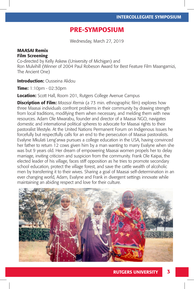# PRE-SYMPOSIUM

Wednesday, March 27, 2019

#### MAASAI Remix Film Screening

Co-directed by Kelly Askew (University of Michigan) and Ron Mulvihill (Winner of 2004 Paul Robeson Award for Best Feature Film Maangamizi, The Ancient One)

**Introduction: Ousseina Alidou** 

Time: 1:10pm - 02:30pm

Location: Scott Hall, Room 201, Rutgers College Avenue Campus

**Discription of Film:** *Maasai Remix* (a 73 min. ethnographic film) explores how three Maasai individuals confront problems in their community by drawing strength from local traditions, modifying them when necessary, and melding them with new resources. Adam Ole Mwarabu, founder and director of a Maasai NGO, navigates domestic and international political spheres to advocate for Maasai rights to their pastoralist lifestyle. At the United Nations Permanent Forum on Indigenous Issues he forcefully but respectfully calls for an end to the persecution of Maasai pastoralists. Evalyne Mkulati Leng'arwa pursues a college education in the USA, having convinced her father to return 12 cows given him by a man wanting to marry Evalyne when she was but 9 years old. Her dream of empowering Maasai women propels her to delay marriage, inviting criticism and suspicion from the community. Frank Ole Kaipai, the elected leader of his village, faces stiff opposition as he tries to promote secondary school education, protect the village forest, and save the cattle wealth of alcoholic men by transferring it to their wives. Sharing a goal of Maasai self-determination in an ever changing world, Adam, Evalyne and Frank in divergent settings innovate while maintaining an abiding respect and love for their culture.

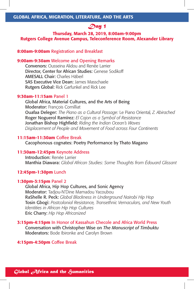# *Day 1*

# Thursday, March 28, 2019, 8:00am-9:00pm Rutgers College Avenue Campus, Teleconference Room, Alexander Library

#### 8:00am-9:00am Registration and Breakfast

#### 9:00am-9:30am Welcome and Opening Remarks

Convenors: Ousseina Alidou and Renée Larrier Director, Center for African Studies: Genese Sodikoff AMESALL Chair: Charles Häberl SAS Executive Vice Dean: James Masschaele Rutgers Global: Rick Garfunkel and Rick Lee

#### 9:30am-11:15am Panel 1

Global Africa, Material Cultures, and the Arts of Being Moderator: François Cornilliat Ouafaa Deleger: *The Piano as a Cultural Passage:* Le Piano Oriental*, Z. Abirached* Roger Noguerol Ramírez: *El Cajon as a Symbol of Resistance* Jonathan Bishop Highfield: *Riding the Indian Ocean's Waves Displacement of People and Movement of Food across Four Continents*

#### 11:15am-11:30am Coffee Break

Cacophonous cognates: Poetry Performance by Thato Magano

#### 11:30am-12:45pm Keynote Address

Introduction: Renée Larrier Manthia Diawara: *Global African Studies: Some Thoughts from Édouard Glissant*

#### 12:45pm-1:30pm Lunch

#### 1:30pm-3:15pm Panel 2

Global Africa, Hip Hop Cultures, and Sonic Agency Moderator: Tadjou-N'Dine Mamadou Yacoubou RaShelle R. Peck: *Global Blackness in Underground Nairobi Hip Hop* Tosin Gbogi: *Postcolonial Resistance, Transethnic Vernaculars, and New Youth Identities in African Hip Hop Cultures* Eric Charry: *Hip Hop Africanized*

#### 3:15pm-4:15pm In Honor of Kassahun Checole and Africa World Press

Conversation with Christopher Wise on *The Manuscript of Timbuktu* Moderators: Bode Ibironke and Carolyn Brown

#### 4:15pm-4:30pm Coffee Break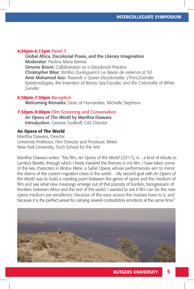#### 4:30pm-6:15pm Panel 3

Global Africa, Decolonial Praxis, and the Literary Imagination Moderator: Paulina Maria Barrios Simone Brioni: *Collaboration as a Decolonial Practice* Christopher Wise: *Yambo Ouologuem's* Le devoir de violence *at 50* Amir Mohamed Aziz: *Towards a Queer Decoloniality: (Trans)Gender Epistemologies, the Invention of Binary Sex/Gender, and the Coloniality of White Gender*

#### 6:30pm-7:30pm Reception

Welcoming Remarks: Dean of Humanities, Michelle Stephens

## **7:30pm-9:00pm** Film Screening and Conversation

*An Opera of The World* by Manthia Diawara Introduction: Genese Sodikoff, CAS Director

#### An Opera of The World

Manthia Diawara, Director University Professor, Film Director and Producer, Writer New York University, Tisch School for the Arts

Manthia Diawara writes: "My film, *An Opera of the World* (2017), is…a kind of tribute to Lamko's libretto, through which I freely interpret the themes in my film. I have taken some of the key characters in *Bintou Were*, a Sahel Opera, whose performances aim to mirror the drama of the current migration crises in the world… My second goal with *An Opera of the World* was to build a meeting point between the genre of opera and the medium of film and see what new meanings emerge out of that porosity of borders, transgression of frontiers between Africa and the rest of the world. I wanted to ask if film can be the new opera medium par excellence: because of the easy access the masses have to it, and because it is the perfect vessel for carrying several contradictory emotions at the same time."

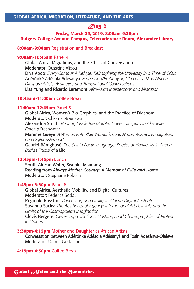# *Day 2*

# Friday, March 29, 2019, 8:00am-9:30pm Rutgers College Avenue Campus, Teleconference Room, Alexander Library

#### 8:00am-9:00am Registration and Breakfast

#### 9:00am-10:45am Panel 4

Global Africa, Migrations, and the Ethics of Conversation Moderator: Ousseina Alidou Diya Abdo: *Every Campus A Refuge: Reimagining the University in a Time of Crisis* Adérónké Adésolá Adésànyà: *Embracing/Embodying Glo-cal-ity: New African Diaspora Artists' Aesthetics and Transnational Conversations* Lisa Yung and Ricardo Larémont: *Afro-Asian Intersections and Migration*

# 10:45am-11:00am Coffee Break

#### 11:00am-12:45am Panel 5

Global Africa, Women's Bio-Graphics, and the Practice of Diaspora Moderator: Chioma Nwankwo Alexandria Smith: *Roaring Inside the Marble: Queer Diaspora in Akwaeke Emezi's* Freshwater Marame Gueye: *A Woman is Another Woman's Cure: African Women, Immigration, and Digital Sisterhood* Gabriel Bámgbósé: *The Self in Poetic Language: Poetics of Hapticality in Abena Busia's* Traces of a Life

#### 12:45pm-1:45pm Lunch

South African Writer, Sisonke Msimang Reading from *Always Mother Country: A Memoir of Exile and Home* Moderator: Stéphane Robolin

#### 1:45pm-3:30pm Panel 6

Global Africa, Aesthetic Mobility, and Digital Cultures Moderator: Federica Soddu Reginold Royston: *Podcasting and Orality in African Digital Aesthetics* Susanna Sacks: *The Aesthetics of Agency: International Art Festivals and the Limits of the Cosmopolitan Imagination* Clovis Bergère: *Clever Improvisations, Hashtags and Choreographies of Protest* 

*in Guinea*

#### **3:30pm-4:15pm** Mother and Daughter as African Artists

Conversation between Adérónké Adésolá Adésànyà and Tosin Adésànyà-Olaleye Moderator: Donna Gustafson

#### 4:15pm-4:30pm Coffee Break

*Global Africa and the Humanities*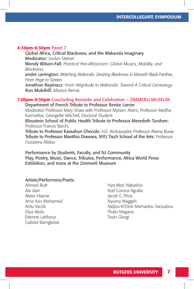#### 4:30pm-6:30pm Panel 7

Global Africa, Critical Blackness, and the Wakanda Imaginary Moderator: Jordan Steiner Wendy Wilson-Fall: *Practical Pan-Africanism: Global Musics, Mobility, and Blackness* andré carrington: *Watching Wakanda: Desiring Blackness in Marvel's* Black Panther*, From Page to Screen* Jonathon Repinecz: From Négritude to Wakanda: Toward A Critical Genealogy Ron Mulvihill: *Maasai Remix*

# 7:00pm-9:30pm Concluding Remarks and Celebration – ZIMMERLI MUSEUM

Department of French Tribute to Professor Renée Larrier

Moderator Professor Mary Shaw with Professor Myriam Alami, Professor Medha Karmarkar, Georgette Mitchell, Doctoral Student

Bloustein School of Public Health Tribute to Professor Meredeth Turshen: Professor Francis Barchi

Tribute to Professor Kassahun Checole: H.E. Ambassador Professor Abena Busia Tribute to Professor Manthia Diawara, NYU Tisch School of the Arts: Professor Ousseina Alidou

Performance by Students, Faculty, and NJ Community Play, Poetry, Music, Dance, Tributes, Performance, Africa World Press Exhibition, and more at the Zimmerli Museum

#### Artists/Performers/Poets:

Ahmed Butt Ala Jitan Alexis Haynie Amir Aziz Mohamed Antu Yacob Diya Abdo Etienne Labbouz Gabriel Bámgbósé

Hyo-Won Nakashio Itzel Corona Aguilar Jacob G Price Nyuma Waggeh Tadjou-N'Dine Mamadou Yacoubou Thato Magano Tosin Gbogi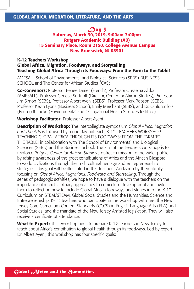# *Day 3*

## Saturday, March 30, 2019, 9:00am-3:00pm Rutgers Academic Building (AB) 15 Seminary Place, Room 2150, College Avenue Campus New Brunswick, NJ 08901

# K-12 Teachers Workshop Global Africa, Migration, Foodways, and Storytelling Teaching Global Africa Through its Foodways: From the Farm to the Table!

AMESALL-School of Environmental and Biological Sciences (SEBS)-BUSINESS SCHOOL and The Center for African Studies (CAS)

Co-convenors: Professor Renée Larrier (French), Professor Ousseina Alidou (AMESALL), Professor Genese Sodikoff (Director, Center for African Studies), Professor Jim Simon (SEBS), Professor Albert Ayeni (SEBS), Professor Mark Robson (SEBS), Professor Kevin Lyons (Business School), Emily Merchant (SEBS), and Dr. Olufunmilola (Funmi) Ibironke (Environmental and Occupational Health Sciences Institute)

## Workshop Facilitator: Professor Albert Ayeni

Description of Workshop: The intercollegiate symposium *Global Africa, Migration and The Arts* is followed by a one-day outreach, K-12 TEACHERS WORKSHOP: TEACHING GLOBAL AFRICA THROUGH ITS FOODWAYS: FROM THE FARM TO THE TABLE! in collaboration with The School of Environmental and Biological Sciences (SEBS) and the Business School. The aim of the Teachers workshop is to reinforce *Rutgers Center for African Studies's* outreach mission to the wider public by raising awareness of the great contributions of Africa and the African Diaspora to world civilizations through their rich cultural heritage and entrepreneurship strategies. This goal will be illustrated in this Teachers Workshop by thematically focusing on *Global Africa, Migrations, Foodways and Storytelling*. Through the series of pedagogic activities, we hope to have a dialogue with the teachers on the importance of interdisciplinary approaches to curriculum development and invite them to reflect on how to include Global African foodways and stories into the K-12 Curriculum on STEM/STEAM, Global Social Studies and the Humanities, Science and Entrepreneurship. K-12 Teachers who participate in the workshop will meet the New Jersey Core Curriculum Content Standards (CCCS) in English Language Arts (ELA) and Social Studies, and the mandate of the New Jersey Amistad legislation. They will also receive a certificate of attendance.

What to Expect: This workshop aims to prepare K-12 teachers in New Jersey to teach about Africa's contribution to global health through its foodways. Led by expert Dr. Albert Ayeni, this workshop has four specific goals: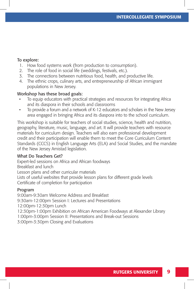## To explore:

- 1. How food systems work (from production to consumption).
- 2. The role of food in social life (weddings, festivals, etc.).
- 3. The connections between nutritious food, health, and productive life.
- 4. The ethnic crops, culinary arts, and entrepreneurship of African immigrant populations in New Jersey.

# Workshop has these broad goals:

- To equip educators with practical strategies and resources for integrating Africa and its diaspora in their schools and classrooms
- To provide a forum and a network of K-12 educators and scholars in the New Jersey area engaged in bringing Africa and its diaspora into to the school curriculum.

This workshop is suitable for teachers of social studies, science, health and nutrition, geography, literature, music, language, and art. It will provide teachers with resource materials for curriculum design. Teachers will also earn professional development credit and their participation will enable them to meet the Core Curriculum Content Standards (CCCS) in English Language Arts (ELA) and Social Studies, and the mandate of the New Jersey Amistad legislation.

#### What Do Teachers Get?

Expert-led sessions on Africa and African foodways Breakfast and lunch Lesson plans and other curricular materials Lists of useful websites that provide lesson plans for different grade levels Certificate of completion for participation

#### Program

9:00am-9:30am Welcome Address and Breakfast 9:30am-12:00pm Session I: Lectures and Presentations 12:00pm-12:30pm Lunch 12:30pm-1:00pm Exhibition on African American Foodways at Alexander Library 1:00pm-3:00pm Session II: Presentations and Break-out Sessions 3:00pm-3:30pm Closing and Evaluations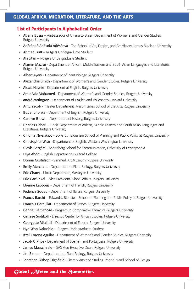## GLOBAL AFRICA, MIGRATION, LITERATURE, AND THE ARTS

#### List of Participants in Alphabetical Order

- Abena Busia Ambassador of Ghana to Brazil; Department of Women's and Gender Studies, Rutgers University
- Adérónké Adésolá Adésànyà The School of Art, Design, and Art History, James Madison University
- Ahmed Butt Rutgers Undergraduate Student
- Ala Jitan Rutgers Undergraduate Student
- Alamin Mazrui Department of African, Middle Eastern and South Asian Languages and Literatures, Rutgers University
- Albert Ayeni Department of Plant Biology, Rutgers University
- Alexandria Smith Department of Women's and Gender Studies, Rutgers University
- Alexis Haynie Department of English, Rutgers University
- Amir Aziz Mohamed Department of Women's and Gender Studies, Rutgers University
- andré carrington Department of English and Philosophy, Harvard University
- Antu Yacob Theater Department, Mason Gross School of the Arts, Rutgers University
- Bode Ibironke Department of English, Rutgers University
- Carolyn Brown Department of History, Rutgers University
- Charles Häberl Chair, Department of African, Middle Eastern and South Asian Languages and Literatures, Rutgers University
- Chioma Nwankwo Edward J. Bloustein School of Planning and Public Policy at Rutgers University
- Christopher Wise Department of English, Western Washington University
- Clovis Bergère Annenberg School for Communication, University of Pennsylvania
- Diya Abdo English Department, Guilford College
- Donna Gustafson Zimmerli Art Museum, Rutgers University
- Emily Merchant Department of Plant Biology, Rutgers University
- Eric Charry Music Department, Wesleyan University
- Eric Garfunkel Vice President, Global Affairs, Rutgers University
- Etienne Labbouz Department of French, Rutgers University
- Federica Soddu Department of Italian, Rutgers University
- Francis Barchi Edward J. Bloustein School of Planning and Public Policy at Rutgers University
- François Cornilliat Department of French, Rutgers University
- Gabriel Bámgbósé Program in Comparative Literature, Rutgers University
- Genese Sodikoff Director, Center for African Studies, Rutgers University
- Georgette Mitchell Department of French, Rutgers University
- Hyo-Won Nakashio Rutgers Undergraduate Student
- Itzel Corona Aguilar Department of Women's and Gender Studies, Rutgers University
- Jacob G Price Department of Spanish and Portuguese, Rutgers University
- James Masschaele SAS Vice Executive Dean, Rutgers University
- Jim Simon Department of Plant Biology, Rutgers University
- Jonathan Bishop Highfield Literary Arts and Studies, Rhode Island School of Design

#### *Global Africa and the Humanities*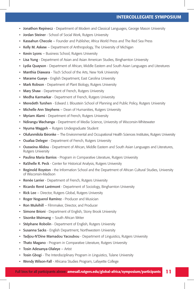- Jonathon Repinecz Department of Modern and Classical Languages, George Mason University
- Jordan Steiner School of Social Work, Rutgers University
- Kassahun Checole Founder and Publisher, Africa World Press and The Red Sea Press
- Kelly M. Askew Department of Anthropology, The University of Michigan
- Kevin Lyons Business School, Rutgers University
- Lisa Yung Department of Asian and Asian American Studies, Binghamton University
- Lydia Quayson Department of African, Middle Eastern and South Asian Languages and Literatures
- Manthia Diawara Tisch School of the Arts, New York University
- Marame Gueye English Department, East Carolina University
- Mark Robson Department of Plant Biology, Rutgers University
- Mary Shaw Department of French, Rutgers University
- Medha Karmarkar Department of French, Rutgers University
- Meredeth Turshen Edward J. Bloustein School of Planning and Public Policy, Rutgers University
- Michelle Ann Stephens Dean of Humanities, Rutgers University
- Myriam Alami Department of French, Rutgers University
- Ndirangu Wachanga Department of Media Science, University of Wisconsin-Whitewater
- Nyuma Waggeh Rutgers Undergraduate Student
- Olufunmilola Ibironke The Environmental and Occupational Health Sciences Institutes, Rutgers University
- Ouafaa Deleger Department of French, Rutgers University
- Ousseina Alidou Department of African, Middle Eastern and South Asian Languages and Literatures, Rutgers University
- Paulina Maria Barrios Program in Comparative Literature, Rutgers University
- RaShelle R. Peck Center for Historical Analysis, Rutgers University
- Reginold Royston the Information School and the Department of African Cultural Studies, University of Wisconsin-Madison
- Renée Larrier Department of French, Rutgers University
- Ricardo René Larémont Department of Sociology, Binghamton University
- Rick Lee Director, Rutgers Global, Rutgers University
- Roger Noguerol Ramírez Producer and Musician
- Ron Mulvihill Filmmaker, Director, and Producer
- Simone Brioni Department of English, Stony Brook University
- Sisonke Msimang South African Writer
- Stéphane Robolin Department of English, Rutgers University
- Susanna Sacks English Department, Northwestern University
- Tadjou-N'Dine Mamadou Yacoubou Department of Linguistics, Rutgers University
- Thato Magano Program in Comparative Literature, Rutgers University
- Tosin Adesanya-Olaleye Artist
- Tosin Gbogi The Interdisciplinary Program in Linguistics, Tulane University
- Wendy Wilson-Fall Africana Studies Program, Lafayette College